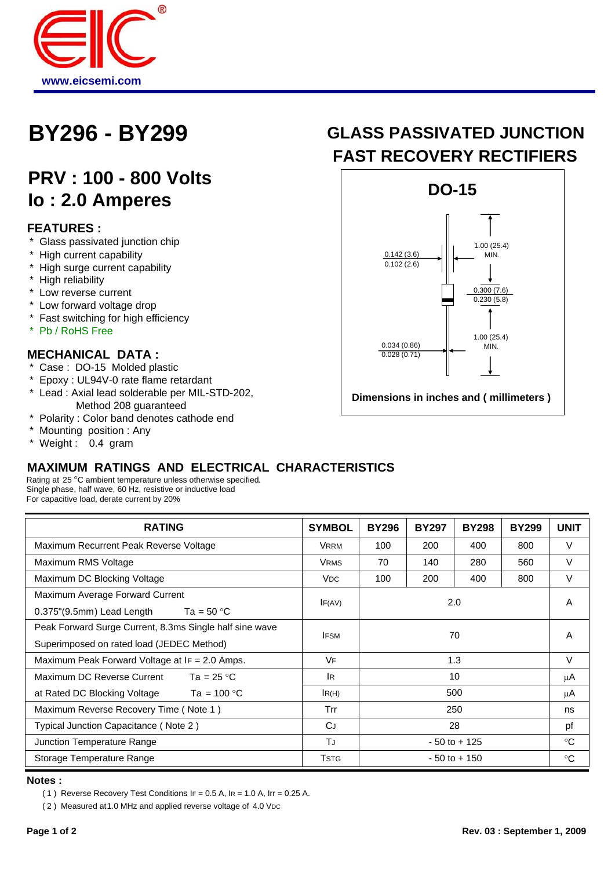

# **PRV : 100 - 800 Volts Io : 2.0 Amperes**

### **FEATURES :**

- \* Glass passivated junction chip
- \* High current capability
- \* High surge current capability
- \* High reliability
- \* Low reverse current
- \* Low forward voltage drop
- \* Fast switching for high efficiency
- \* Pb / RoHS Free

#### **MECHANICAL DATA :**

- \* Case : DO-15 Molded plastic
- \* Epoxy : UL94V-0 rate flame retardant
- \* Lead : Axial lead solderable per MIL-STD-202, Method 208 guaranteed
- \* Polarity : Color band denotes cathode end
- \* Mounting position : Any
- \* Weight : 0.4 gram

## **BY296 - BY299 GLASS PASSIVATED JUNCTION FAST RECOVERY RECTIFIERS**



## **MAXIMUM RATINGS AND ELECTRICAL CHARACTERISTICS**

Rating at 25 °C ambient temperature unless otherwise specified. Single phase, half wave, 60 Hz, resistive or inductive load For capacitive load, derate current by 20%

| <b>RATING</b>                                                                                        | <b>SYMBOL</b>         | <b>BY296</b>    | <b>BY297</b> | <b>BY298</b> | <b>BY299</b> | <b>UNIT</b> |
|------------------------------------------------------------------------------------------------------|-----------------------|-----------------|--------------|--------------|--------------|-------------|
| Maximum Recurrent Peak Reverse Voltage                                                               | <b>VRRM</b>           | 100             | 200          | 400          | 800          | V           |
| Maximum RMS Voltage                                                                                  | <b>VRMS</b>           | 70              | 140          | 280          | 560          | V           |
| Maximum DC Blocking Voltage                                                                          | <b>V<sub>DC</sub></b> | 100             | 200          | 400          | 800          | V           |
| Maximum Average Forward Current<br>0.375"(9.5mm) Lead Length $Ta = 50 °C$                            | IF(AV)                | 2.0             |              |              |              | A           |
| Peak Forward Surge Current, 8.3ms Single half sine wave<br>Superimposed on rated load (JEDEC Method) | <b>IFSM</b>           | 70              |              |              |              | A           |
| Maximum Peak Forward Voltage at IF = 2.0 Amps.                                                       | VF                    | 1.3             |              |              | $\vee$       |             |
| Maximum DC Reverse Current<br>Ta = $25^{\circ}$ C                                                    | lR.                   | 10              |              |              |              | μA          |
| at Rated DC Blocking Voltage<br>Ta = 100 $^{\circ}$ C                                                | IR(H)                 | 500             |              |              | μA           |             |
| Maximum Reverse Recovery Time (Note 1)                                                               | Trr                   | 250             |              |              | ns           |             |
| Typical Junction Capacitance (Note 2)                                                                | CJ                    | 28              |              |              | pf           |             |
| Junction Temperature Range                                                                           | ΤJ                    | $-50$ to $+125$ |              |              | $^{\circ}C$  |             |
| Storage Temperature Range                                                                            | <b>TSTG</b>           | $-50$ to $+150$ |              |              |              | $^{\circ}C$ |

#### **Notes :**

( 1) Reverse Recovery Test Conditions  $IF = 0.5 A$ ,  $IR = 1.0 A$ ,  $Ir = 0.25 A$ .

( 2 ) Measured at 1.0 MHz and applied reverse voltage of 4.0 VDC